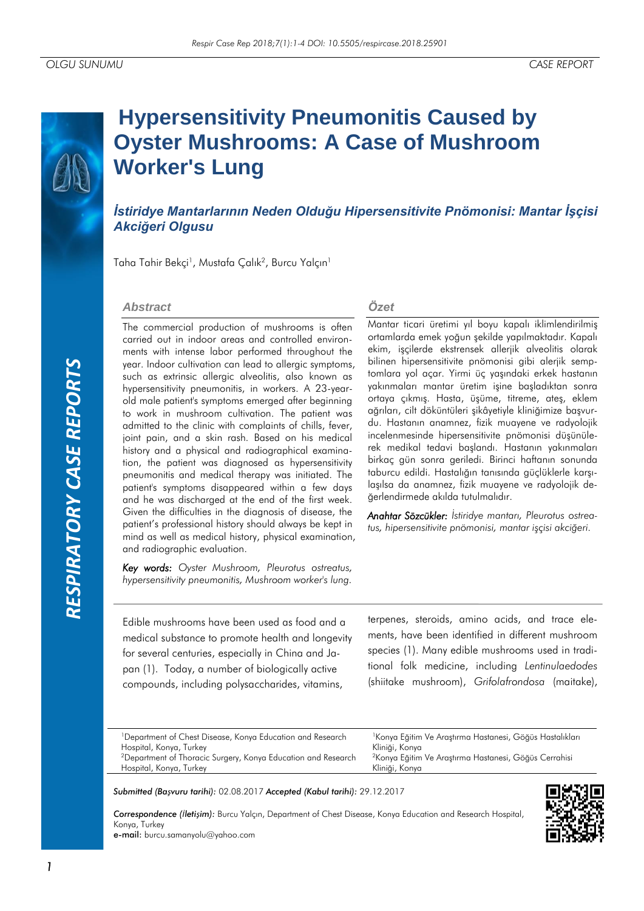# *RESPIRATORY CASE REPORTS*RESPIRATORY CASE REPORTS

# **Hypersensitivity Pneumonitis Caused by Oyster Mushrooms: A Case of Mushroom Worker's Lung**

*İstiridye Mantarlarının Neden Olduğu Hipersensitivite Pnömonisi: Mantar İşçisi Akciğeri Olgusu*

Taha Tahir Bekçi<sup>1</sup>, Mustafa Çalık<sup>2</sup>, Burcu Yalçın<sup>ı</sup>

# *Abstract*

The commercial production of mushrooms is often carried out in indoor areas and controlled environments with intense labor performed throughout the year. Indoor cultivation can lead to allergic symptoms, such as extrinsic allergic alveolitis, also known as hypersensitivity pneumonitis, in workers. A 23-yearold male patient's symptoms emerged after beginning to work in mushroom cultivation. The patient was admitted to the clinic with complaints of chills, fever, joint pain, and a skin rash. Based on his medical history and a physical and radiographical examination, the patient was diagnosed as hypersensitivity pneumonitis and medical therapy was initiated. The patient's symptoms disappeared within a few days and he was discharged at the end of the first week. Given the difficulties in the diagnosis of disease, the patient's professional history should always be kept in mind as well as medical history, physical examination, and radiographic evaluation.

*Key words: Oyster Mushroom, Pleurotus ostreatus, hypersensitivity pneumonitis, Mushroom worker's lung.*

# *Özet*

Mantar ticari üretimi yıl boyu kapalı iklimlendirilmiş ortamlarda emek yoğun şekilde yapılmaktadır. Kapalı ekim, işçilerde ekstrensek allerjik alveolitis olarak bilinen hipersensitivite pnömonisi gibi alerjik semptomlara yol açar. Yirmi üç yaşındaki erkek hastanın yakınmaları mantar üretim işine başladıktan sonra ortaya çıkmış. Hasta, üşüme, titreme, ateş, eklem ağrıları, cilt döküntüleri şikâyetiyle kliniğimize başvurdu. Hastanın anamnez, fizik muayene ve radyolojik incelenmesinde hipersensitivite pnömonisi düşünülerek medikal tedavi başlandı. Hastanın yakınmaları birkaç gün sonra geriledi. Birinci haftanın sonunda taburcu edildi. Hastalığın tanısında güçlüklerle karşılaşılsa da anamnez, fizik muayene ve radyolojik değerlendirmede akılda tutulmalıdır.

*Anahtar Sözcükler: İstiridye mantarı, Pleurotus ostreatus, hipersensitivite pnömonisi, mantar işçisi akciğeri.*

Edible mushrooms have been used as food and a medical substance to promote health and longevity for several centuries, especially in China and Japan (1). Today, a number of biologically active compounds, including polysaccharides, vitamins,

terpenes, steroids, amino acids, and trace elements, have been identified in different mushroom species (1). Many edible mushrooms used in traditional folk medicine, including *Lentinulaedodes* (shiitake mushroom), *Grifolafrondosa* (maitake),

| <sup>1</sup> Department of Chest Disease, Konya Education and Research    | <sup>1</sup> Konya Eğitim Ve Araştırma Hastanesi, Göğüs Hastalıkları |
|---------------------------------------------------------------------------|----------------------------------------------------------------------|
| Hospital, Konya, Turkey                                                   | Kliniği, Konya                                                       |
| <sup>2</sup> Department of Thoracic Surgery, Konya Education and Research | <sup>2</sup> Konya Eğitim Ve Araştırma Hastanesi, Göğüs Cerrahisi    |
| Hospital, Konya, Turkey                                                   | Kliniği, Konya                                                       |
|                                                                           |                                                                      |

*Submitted (Başvuru tarihi):* 02.08.2017 *Accepted (Kabul tarihi):* 29.12.2017

*Correspondence (İletişim):* Burcu Yalçın, Department of Chest Disease, Konya Education and Research Hospital, Konya, Turkey e-mail: burcu.samanyolu@yahoo.com

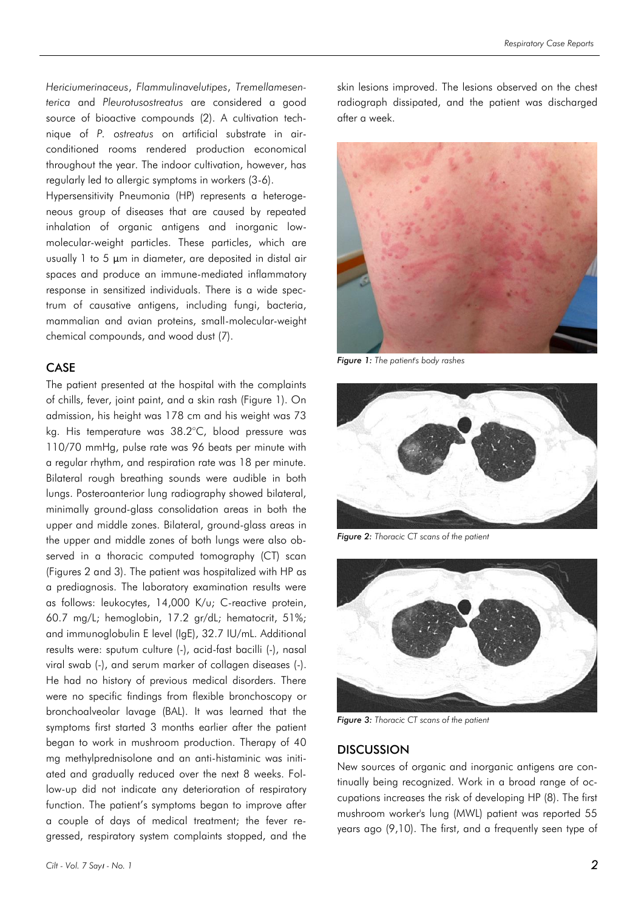*Hericiumerinaceus*, *Flammulinavelutipes*, *Tremellamesenterica* and *Pleurotusostreatus* are considered a good source of bioactive compounds (2). A cultivation technique of *P. ostreatus* on artificial substrate in airconditioned rooms rendered production economical throughout the year. The indoor cultivation, however, has regularly led to allergic symptoms in workers (3-6).

Hypersensitivity Pneumonia (HP) represents a heterogeneous group of diseases that are caused by repeated inhalation of organic antigens and inorganic lowmolecular-weight particles. These particles, which are usually 1 to 5 μm in diameter, are deposited in distal air spaces and produce an immune-mediated inflammatory response in sensitized individuals. There is a wide spectrum of causative antigens, including fungi, bacteria, mammalian and avian proteins, small-molecular-weight chemical compounds, and wood dust (7).

# CASE

The patient presented at the hospital with the complaints of chills, fever, joint paint, and a skin rash (Figure 1). On admission, his height was 178 cm and his weight was 73 kg. His temperature was 38.2°C, blood pressure was 110/70 mmHg, pulse rate was 96 beats per minute with a regular rhythm, and respiration rate was 18 per minute. Bilateral rough breathing sounds were audible in both lungs. Posteroanterior lung radiography showed bilateral, minimally ground-glass consolidation areas in both the upper and middle zones. Bilateral, ground-glass areas in the upper and middle zones of both lungs were also observed in a thoracic computed tomography (CT) scan (Figures 2 and 3). The patient was hospitalized with HP as a prediagnosis. The laboratory examination results were as follows: leukocytes, 14,000 K/u; C-reactive protein, 60.7 mg/L; hemoglobin, 17.2 gr/dL; hematocrit, 51%; and immunoglobulin E level (IgE), 32.7 IU/mL. Additional results were: sputum culture (-), acid-fast bacilli (-), nasal viral swab (-), and serum marker of collagen diseases (-). He had no history of previous medical disorders. There were no specific findings from flexible bronchoscopy or bronchoalveolar lavage (BAL). It was learned that the symptoms first started 3 months earlier after the patient began to work in mushroom production. Therapy of 40 mg methylprednisolone and an anti-histaminic was initiated and gradually reduced over the next 8 weeks. Follow-up did not indicate any deterioration of respiratory function. The patient's symptoms began to improve after a couple of days of medical treatment; the fever regressed, respiratory system complaints stopped, and the

skin lesions improved. The lesions observed on the chest radiograph dissipated, and the patient was discharged after a week.



*Figure 1: The patient's body rashes*



*Figure 2: Thoracic CT scans of the patient*



*Figure 3: Thoracic CT scans of the patient*

### **DISCUSSION**

New sources of organic and inorganic antigens are continually being recognized. Work in a broad range of occupations increases the risk of developing HP (8). The first mushroom worker's lung (MWL) patient was reported 55 years ago (9,10). The first, and a frequently seen type of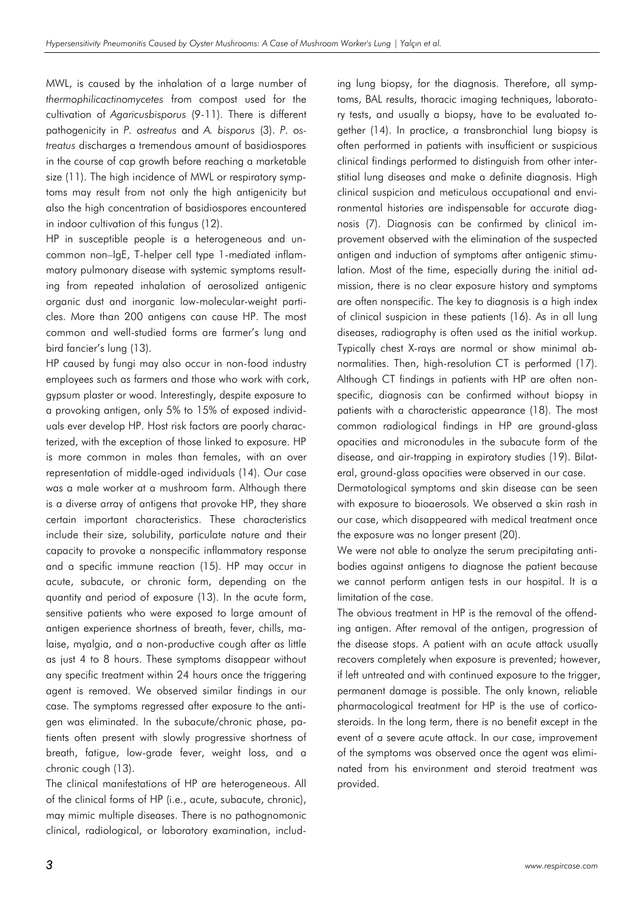MWL, is caused by the inhalation of a large number of *thermophilicactinomycetes* from compost used for the cultivation of *Agaricusbisporus* (9-11). There is different pathogenicity in *P. ostreatus* and *A. bisporus* (3). *P. ostreatus* discharges a tremendous amount of basidiospores in the course of cap growth before reaching a marketable size (11). The high incidence of MWL or respiratory symptoms may result from not only the high antigenicity but also the high concentration of basidiospores encountered in indoor cultivation of this fungus (12).

HP in susceptible people is a heterogeneous and uncommon non–IgE, T-helper cell type 1-mediated inflammatory pulmonary disease with systemic symptoms resulting from repeated inhalation of aerosolized antigenic organic dust and inorganic low-molecular-weight particles. More than 200 antigens can cause HP. The most common and well-studied forms are farmer's lung and bird fancier's lung (13).

HP caused by fungi may also occur in non-food industry employees such as farmers and those who work with cork, gypsum plaster or wood. Interestingly, despite exposure to a provoking antigen, only 5% to 15% of exposed individuals ever develop HP. Host risk factors are poorly characterized, with the exception of those linked to exposure. HP is more common in males than females, with an over representation of middle-aged individuals (14). Our case was a male worker at a mushroom farm. Although there is a diverse array of antigens that provoke HP, they share certain important characteristics. These characteristics include their size, solubility, particulate nature and their capacity to provoke a nonspecific inflammatory response and a specific immune reaction (15). HP may occur in acute, subacute, or chronic form, depending on the quantity and period of exposure (13). In the acute form, sensitive patients who were exposed to large amount of antigen experience shortness of breath, fever, chills, malaise, myalgia, and a non-productive cough after as little as just 4 to 8 hours. These symptoms disappear without any specific treatment within 24 hours once the triggering agent is removed. We observed similar findings in our case. The symptoms regressed after exposure to the antigen was eliminated. In the subacute/chronic phase, patients often present with slowly progressive shortness of breath, fatigue, low-grade fever, weight loss, and a chronic cough (13).

The clinical manifestations of HP are heterogeneous. All of the clinical forms of HP (i.e., acute, subacute, chronic), may mimic multiple diseases. There is no pathognomonic clinical, radiological, or laboratory examination, including lung biopsy, for the diagnosis. Therefore, all symptoms, BAL results, thoracic imaging techniques, laboratory tests, and usually a biopsy, have to be evaluated together (14). In practice, a transbronchial lung biopsy is often performed in patients with insufficient or suspicious clinical findings performed to distinguish from other interstitial lung diseases and make a definite diagnosis. High clinical suspicion and meticulous occupational and environmental histories are indispensable for accurate diagnosis (7). Diagnosis can be confirmed by clinical improvement observed with the elimination of the suspected antigen and induction of symptoms after antigenic stimulation. Most of the time, especially during the initial admission, there is no clear exposure history and symptoms are often nonspecific. The key to diagnosis is a high index of clinical suspicion in these patients (16). As in all lung diseases, radiography is often used as the initial workup. Typically chest X-rays are normal or show minimal abnormalities. Then, high-resolution CT is performed (17). Although CT findings in patients with HP are often nonspecific, diagnosis can be confirmed without biopsy in patients with a characteristic appearance (18). The most common radiological findings in HP are ground-glass opacities and micronodules in the subacute form of the disease, and air-trapping in expiratory studies (19). Bilateral, ground-glass opacities were observed in our case.

Dermatological symptoms and skin disease can be seen with exposure to bioaerosols. We observed a skin rash in our case, which disappeared with medical treatment once the exposure was no longer present (20).

We were not able to analyze the serum precipitating antibodies against antigens to diagnose the patient because we cannot perform antigen tests in our hospital. It is a limitation of the case.

The obvious treatment in HP is the removal of the offending antigen. After removal of the antigen, progression of the disease stops. A patient with an acute attack usually recovers completely when exposure is prevented; however, if left untreated and with continued exposure to the trigger, permanent damage is possible. The only known, reliable pharmacological treatment for HP is the use of corticosteroids. In the long term, there is no benefit except in the event of a severe acute attack. In our case, improvement of the symptoms was observed once the agent was eliminated from his environment and steroid treatment was provided.